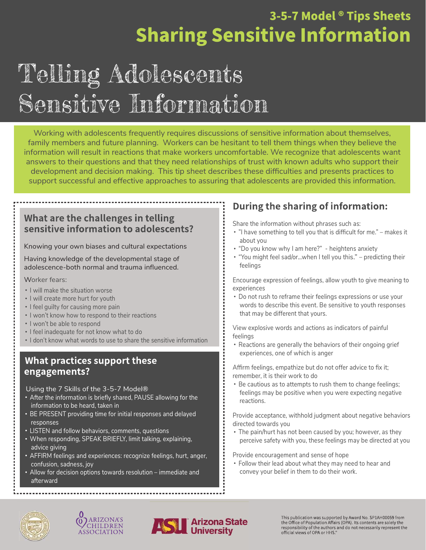### 3-5-7 Model ® Tips Sheets **Sharing Sensitive Information**

## Telling Adolescents Sensitive Information

Working with adolescents frequently requires discussions of sensitive information about themselves, family members and future planning. Workers can be hesitant to tell them things when they believe the information will result in reactions that make workers uncomfortable. We recognize that adolescents want answers to their questions and that they need relationships of trust with known adults who support their development and decision making. This tip sheet describes these difficulties and presents practices to support successful and effective approaches to assuring that adolescents are provided this information.

#### What are the challenges in telling sensitive information to adolescents?

Knowing your own biases and cultural expectations

Having knowledge of the developmental stage of adolescence-both normal and trauma influenced.

Worker fears:

- I will make the situation worse
- I will create more hurt for youth
- I feel quilty for causing more pain
- $\cdot$  I won't know how to respond to their reactions
- I won't be able to respond
- I feel inadequate for not know what to do
- I don't know what words to use to share the sensitive information

#### What practices support these engagements?

Using the 7 Skills of the 3-5-7 Model®

- After the information is briefly shared, PAUSE allowing for the information to be heard, taken in
- BE PRESENT providing time for initial responses and delayed responses
- LISTEN and follow behaviors, comments, questions
- When responding, SPEAK BRIEFLY, limit talking, explaining, advice giving
- AFFIRM feelings and experiences: recognize feelings, hurt, anger, confusion, sadness, joy
- Allow for decision options towards resolution immediate and afterward

#### During the sharing of information:

Share the information without phrases such as:

- "I have something to tell you that is difficult for me." makes it about you
- . "Do you know why I am here?" heightens anxiety
- . "You might feel sad/or...when I tell you this." predicting their feelings

Encourage expression of feelings, allow youth to give meaning to experiences

Do not rush to reframe their feelings expressions or use your words to describe this event. Be sensitive to youth responses that may be different that yours.

View explosive words and actions as indicators of painful feelings

Reactions are generally the behaviors of their ongoing grief experiences, one of which is anger

Affirm feelings, empathize but do not offer advice to fix it; remember, it is their work to do

Be cautious as to attempts to rush them to change feelings; feelings may be positive when you were expecting negative reactions.

Provide acceptance, withhold judgment about negative behaviors directed towards you

The pain/hurt has not been caused by you; however, as they perceive safety with you, these feelings may be directed at you

Provide encouragement and sense of hope

Follow their lead about what they may need to hear and convey your belief in them to do their work.







This publication was supported by Award No. SP1AH00059 from<br>the Office of Population Affairs (OPA). Its contents are solely the responsibility of the authors and do not necessarily represent the official views of OPA or HHS."